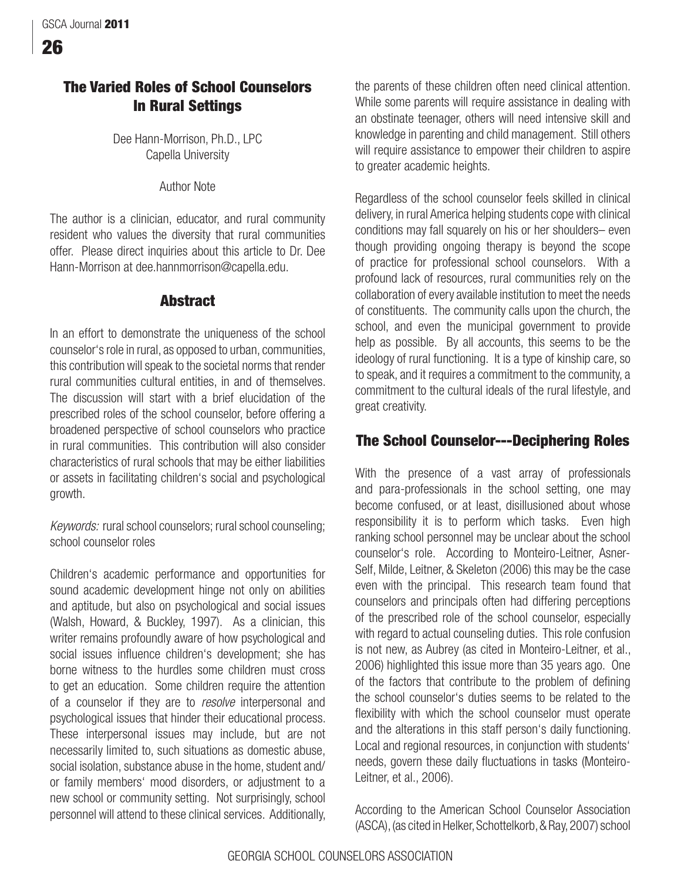# **The Varied Roles of School Counselors In Rural Settings**

Dee Hann-Morrison, Ph.D., LPC Capella University

Author Note

The author is a clinician, educator, and rural community resident who values the diversity that rural communities offer. Please direct inquiries about this article to Dr. Dee Hann-Morrison at dee.hannmorrison@capella.edu.

# **Abstract**

In an effort to demonstrate the uniqueness of the school counselor's role in rural, as opposed to urban, communities, this contribution will speak to the societal norms that render rural communities cultural entities, in and of themselves. The discussion will start with a brief elucidation of the prescribed roles of the school counselor, before offering a broadened perspective of school counselors who practice in rural communities. This contribution will also consider characteristics of rural schools that may be either liabilities or assets in facilitating children's social and psychological growth.

Keywords: rural school counselors; rural school counseling; school counselor roles

Children's academic performance and opportunities for sound academic development hinge not only on abilities and aptitude, but also on psychological and social issues (Walsh, Howard, & Buckley, 1997). As a clinician, this writer remains profoundly aware of how psychological and social issues influence children's development; she has borne witness to the hurdles some children must cross to get an education. Some children require the attention of a counselor if they are to resolve interpersonal and psychological issues that hinder their educational process. These interpersonal issues may include, but are not necessarily limited to, such situations as domestic abuse, social isolation, substance abuse in the home, student and/ or family members' mood disorders, or adjustment to a new school or community setting. Not surprisingly, school personnel will attend to these clinical services. Additionally,

the parents of these children often need clinical attention. While some parents will require assistance in dealing with an obstinate teenager, others will need intensive skill and knowledge in parenting and child management. Still others will require assistance to empower their children to aspire to greater academic heights.

Regardless of the school counselor feels skilled in clinical delivery, in rural America helping students cope with clinical conditions may fall squarely on his or her shoulders– even though providing ongoing therapy is beyond the scope of practice for professional school counselors. With a profound lack of resources, rural communities rely on the collaboration of every available institution to meet the needs of constituents. The community calls upon the church, the school, and even the municipal government to provide help as possible. By all accounts, this seems to be the ideology of rural functioning. It is a type of kinship care, so to speak, and it requires a commitment to the community, a commitment to the cultural ideals of the rural lifestyle, and great creativity.

# **The School Counselor---Deciphering Roles**

With the presence of a vast array of professionals and para-professionals in the school setting, one may become confused, or at least, disillusioned about whose responsibility it is to perform which tasks. Even high ranking school personnel may be unclear about the school counselor's role. According to Monteiro-Leitner, Asner-Self, Milde, Leitner, & Skeleton (2006) this may be the case even with the principal. This research team found that counselors and principals often had differing perceptions of the prescribed role of the school counselor, especially with regard to actual counseling duties. This role confusion is not new, as Aubrey (as cited in Monteiro-Leitner, et al., 2006) highlighted this issue more than 35 years ago. One of the factors that contribute to the problem of defining the school counselor's duties seems to be related to the flexibility with which the school counselor must operate and the alterations in this staff person's daily functioning. Local and regional resources, in conjunction with students' needs, govern these daily fluctuations in tasks (Monteiro-Leitner, et al., 2006).

According to the American School Counselor Association (ASCA), (as cited in Helker, Schottelkorb, & Ray, 2007) school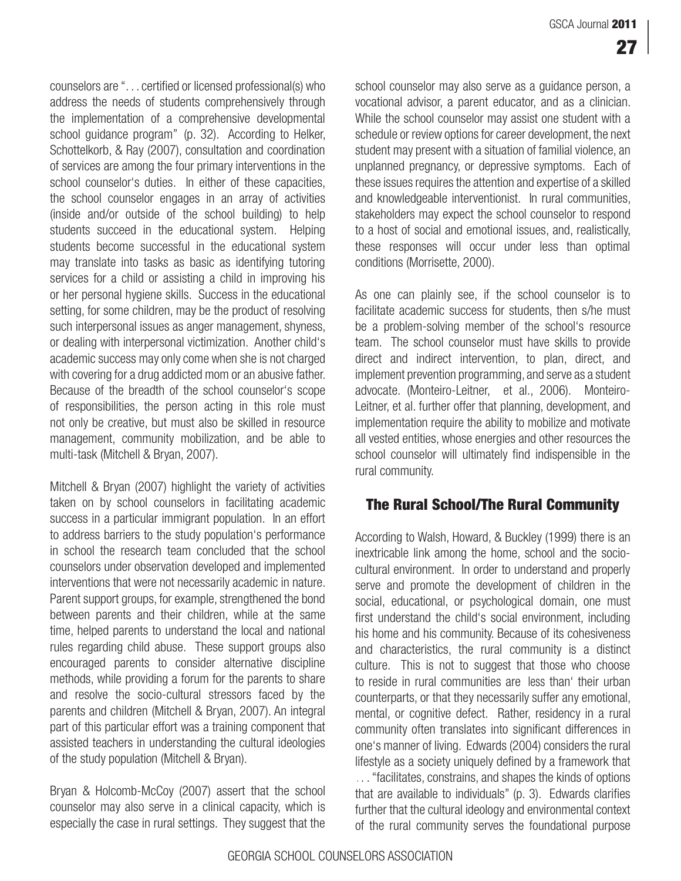counselors are ". . . certified or licensed professional(s) who address the needs of students comprehensively through the implementation of a comprehensive developmental school guidance program" (p. 32). According to Helker, Schottelkorb, & Ray (2007), consultation and coordination of services are among the four primary interventions in the school counselor's duties. In either of these capacities, the school counselor engages in an array of activities (inside and/or outside of the school building) to help students succeed in the educational system. Helping students become successful in the educational system may translate into tasks as basic as identifying tutoring services for a child or assisting a child in improving his or her personal hygiene skills. Success in the educational setting, for some children, may be the product of resolving such interpersonal issues as anger management, shyness, or dealing with interpersonal victimization. Another child's academic success may only come when she is not charged with covering for a drug addicted mom or an abusive father. Because of the breadth of the school counselor's scope of responsibilities, the person acting in this role must not only be creative, but must also be skilled in resource management, community mobilization, and be able to multi-task (Mitchell & Bryan, 2007).

Mitchell & Bryan (2007) highlight the variety of activities taken on by school counselors in facilitating academic success in a particular immigrant population. In an effort to address barriers to the study population's performance in school the research team concluded that the school counselors under observation developed and implemented interventions that were not necessarily academic in nature. Parent support groups, for example, strengthened the bond between parents and their children, while at the same time, helped parents to understand the local and national rules regarding child abuse. These support groups also encouraged parents to consider alternative discipline methods, while providing a forum for the parents to share and resolve the socio-cultural stressors faced by the parents and children (Mitchell & Bryan, 2007). An integral part of this particular effort was a training component that assisted teachers in understanding the cultural ideologies of the study population (Mitchell & Bryan).

Bryan & Holcomb-McCoy (2007) assert that the school counselor may also serve in a clinical capacity, which is especially the case in rural settings. They suggest that the

school counselor may also serve as a guidance person, a vocational advisor, a parent educator, and as a clinician. While the school counselor may assist one student with a schedule or review options for career development, the next student may present with a situation of familial violence, an unplanned pregnancy, or depressive symptoms. Each of these issues requires the attention and expertise of a skilled and knowledgeable interventionist. In rural communities, stakeholders may expect the school counselor to respond to a host of social and emotional issues, and, realistically, these responses will occur under less than optimal conditions (Morrisette, 2000).

As one can plainly see, if the school counselor is to facilitate academic success for students, then s/he must be a problem-solving member of the school's resource team. The school counselor must have skills to provide direct and indirect intervention, to plan, direct, and implement prevention programming, and serve as a student advocate. (Monteiro-Leitner, et al., 2006). Monteiro-Leitner, et al. further offer that planning, development, and implementation require the ability to mobilize and motivate all vested entities, whose energies and other resources the school counselor will ultimately find indispensible in the rural community.

### **The Rural School/The Rural Community**

According to Walsh, Howard, & Buckley (1999) there is an inextricable link among the home, school and the sociocultural environment. In order to understand and properly serve and promote the development of children in the social, educational, or psychological domain, one must first understand the child's social environment, including his home and his community. Because of its cohesiveness and characteristics, the rural community is a distinct culture. This is not to suggest that those who choose to reside in rural communities are less than' their urban counterparts, or that they necessarily suffer any emotional, mental, or cognitive defect. Rather, residency in a rural community often translates into significant differences in one's manner of living. Edwards (2004) considers the rural lifestyle as a society uniquely defined by a framework that . . . "facilitates, constrains, and shapes the kinds of options that are available to individuals" (p. 3). Edwards clarifies further that the cultural ideology and environmental context of the rural community serves the foundational purpose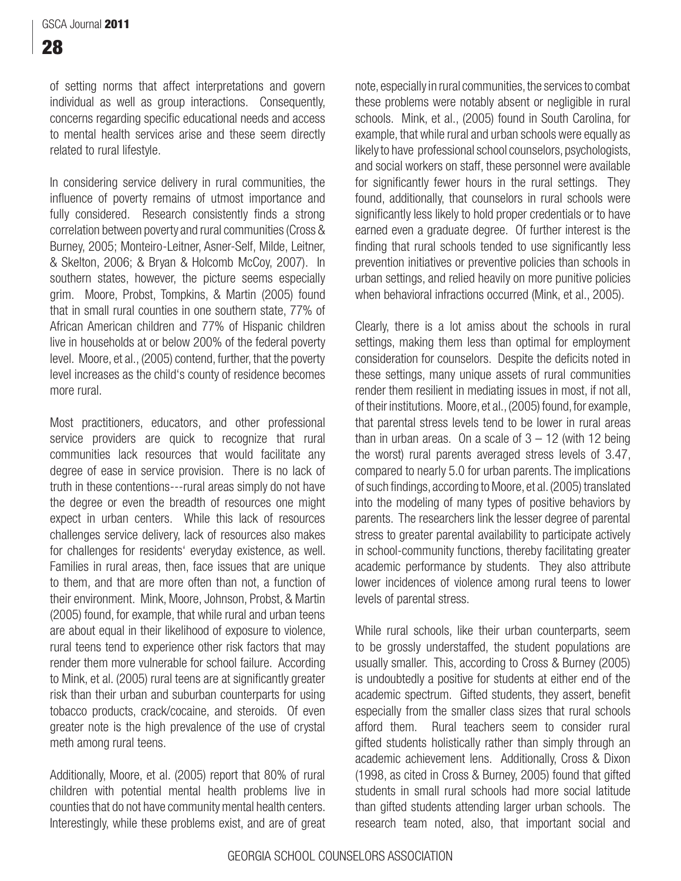of setting norms that affect interpretations and govern individual as well as group interactions. Consequently, concerns regarding specific educational needs and access to mental health services arise and these seem directly related to rural lifestyle.

In considering service delivery in rural communities, the influence of poverty remains of utmost importance and fully considered. Research consistently finds a strong correlation between poverty and rural communities (Cross & Burney, 2005; Monteiro-Leitner, Asner-Self, Milde, Leitner, & Skelton, 2006; & Bryan & Holcomb McCoy, 2007). In southern states, however, the picture seems especially grim. Moore, Probst, Tompkins, & Martin (2005) found that in small rural counties in one southern state, 77% of African American children and 77% of Hispanic children live in households at or below 200% of the federal poverty level. Moore, et al., (2005) contend, further, that the poverty level increases as the child's county of residence becomes more rural.

Most practitioners, educators, and other professional service providers are quick to recognize that rural communities lack resources that would facilitate any degree of ease in service provision. There is no lack of truth in these contentions---rural areas simply do not have the degree or even the breadth of resources one might expect in urban centers. While this lack of resources challenges service delivery, lack of resources also makes for challenges for residents' everyday existence, as well. Families in rural areas, then, face issues that are unique to them, and that are more often than not, a function of their environment. Mink, Moore, Johnson, Probst, & Martin (2005) found, for example, that while rural and urban teens are about equal in their likelihood of exposure to violence, rural teens tend to experience other risk factors that may render them more vulnerable for school failure. According to Mink, et al. (2005) rural teens are at significantly greater risk than their urban and suburban counterparts for using tobacco products, crack/cocaine, and steroids. Of even greater note is the high prevalence of the use of crystal meth among rural teens.

Additionally, Moore, et al. (2005) report that 80% of rural children with potential mental health problems live in counties that do not have community mental health centers. Interestingly, while these problems exist, and are of great

note, especially in rural communities, the services to combat these problems were notably absent or negligible in rural schools. Mink, et al., (2005) found in South Carolina, for example, that while rural and urban schools were equally as likely to have professional school counselors, psychologists, and social workers on staff, these personnel were available for significantly fewer hours in the rural settings. They found, additionally, that counselors in rural schools were significantly less likely to hold proper credentials or to have earned even a graduate degree. Of further interest is the finding that rural schools tended to use significantly less prevention initiatives or preventive policies than schools in urban settings, and relied heavily on more punitive policies when behavioral infractions occurred (Mink, et al., 2005).

Clearly, there is a lot amiss about the schools in rural settings, making them less than optimal for employment consideration for counselors. Despite the deficits noted in these settings, many unique assets of rural communities render them resilient in mediating issues in most, if not all, of their institutions. Moore, et al., (2005) found, for example, that parental stress levels tend to be lower in rural areas than in urban areas. On a scale of  $3 - 12$  (with 12 being the worst) rural parents averaged stress levels of 3.47, compared to nearly 5.0 for urban parents. The implications of such findings, according to Moore, et al. (2005) translated into the modeling of many types of positive behaviors by parents. The researchers link the lesser degree of parental stress to greater parental availability to participate actively in school-community functions, thereby facilitating greater academic performance by students. They also attribute lower incidences of violence among rural teens to lower levels of parental stress.

While rural schools, like their urban counterparts, seem to be grossly understaffed, the student populations are usually smaller. This, according to Cross & Burney (2005) is undoubtedly a positive for students at either end of the academic spectrum. Gifted students, they assert, benefit especially from the smaller class sizes that rural schools afford them. Rural teachers seem to consider rural gifted students holistically rather than simply through an academic achievement lens. Additionally, Cross & Dixon (1998, as cited in Cross & Burney, 2005) found that gifted students in small rural schools had more social latitude than gifted students attending larger urban schools. The research team noted, also, that important social and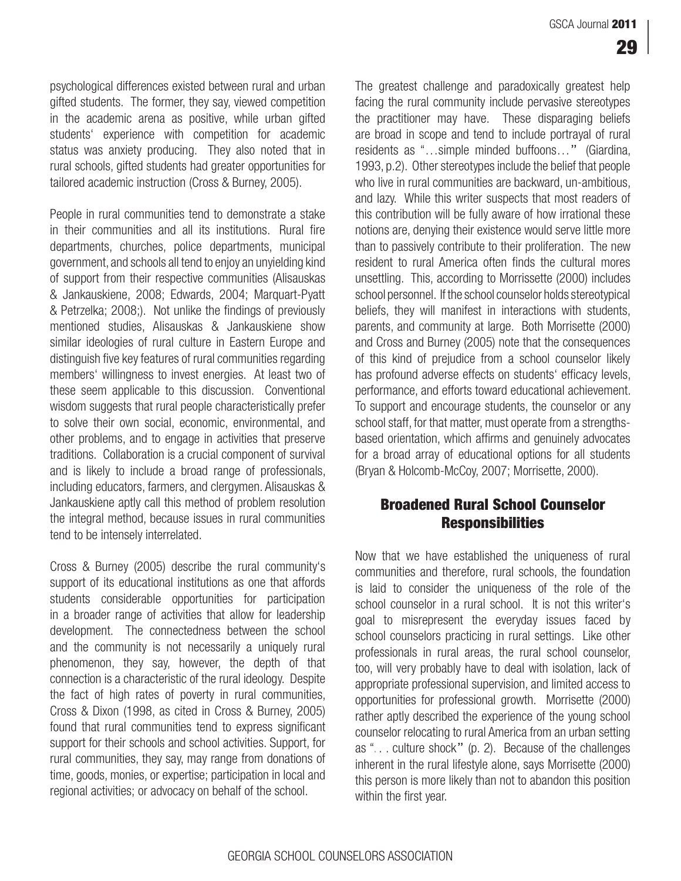psychological differences existed between rural and urban gifted students. The former, they say, viewed competition in the academic arena as positive, while urban gifted students' experience with competition for academic status was anxiety producing. They also noted that in rural schools, gifted students had greater opportunities for tailored academic instruction (Cross & Burney, 2005).

People in rural communities tend to demonstrate a stake in their communities and all its institutions. Rural fire departments, churches, police departments, municipal government, and schools all tend to enjoy an unyielding kind of support from their respective communities (Alisauskas & Jankauskiene, 2008; Edwards, 2004; Marquart-Pyatt & Petrzelka; 2008;). Not unlike the findings of previously mentioned studies, Alisauskas & Jankauskiene show similar ideologies of rural culture in Eastern Europe and distinguish five key features of rural communities regarding members' willingness to invest energies. At least two of these seem applicable to this discussion. Conventional wisdom suggests that rural people characteristically prefer to solve their own social, economic, environmental, and other problems, and to engage in activities that preserve traditions. Collaboration is a crucial component of survival and is likely to include a broad range of professionals, including educators, farmers, and clergymen. Alisauskas & Jankauskiene aptly call this method of problem resolution the integral method, because issues in rural communities tend to be intensely interrelated.

Cross & Burney (2005) describe the rural community's support of its educational institutions as one that affords students considerable opportunities for participation in a broader range of activities that allow for leadership development. The connectedness between the school and the community is not necessarily a uniquely rural phenomenon, they say, however, the depth of that connection is a characteristic of the rural ideology. Despite the fact of high rates of poverty in rural communities, Cross & Dixon (1998, as cited in Cross & Burney, 2005) found that rural communities tend to express significant support for their schools and school activities. Support, for rural communities, they say, may range from donations of time, goods, monies, or expertise; participation in local and regional activities; or advocacy on behalf of the school.

The greatest challenge and paradoxically greatest help facing the rural community include pervasive stereotypes the practitioner may have. These disparaging beliefs are broad in scope and tend to include portrayal of rural residents as "…simple minded buffoons…" (Giardina, 1993, p.2). Other stereotypes include the belief that people who live in rural communities are backward, un-ambitious, and lazy. While this writer suspects that most readers of this contribution will be fully aware of how irrational these notions are, denying their existence would serve little more than to passively contribute to their proliferation. The new resident to rural America often finds the cultural mores unsettling. This, according to Morrissette (2000) includes school personnel. If the school counselor holds stereotypical beliefs, they will manifest in interactions with students, parents, and community at large. Both Morrisette (2000) and Cross and Burney (2005) note that the consequences of this kind of prejudice from a school counselor likely has profound adverse effects on students' efficacy levels, performance, and efforts toward educational achievement. To support and encourage students, the counselor or any school staff, for that matter, must operate from a strengthsbased orientation, which affirms and genuinely advocates for a broad array of educational options for all students (Bryan & Holcomb-McCoy, 2007; Morrisette, 2000).

## **Broadened Rural School Counselor Responsibilities**

Now that we have established the uniqueness of rural communities and therefore, rural schools, the foundation is laid to consider the uniqueness of the role of the school counselor in a rural school. It is not this writer's goal to misrepresent the everyday issues faced by school counselors practicing in rural settings. Like other professionals in rural areas, the rural school counselor, too, will very probably have to deal with isolation, lack of appropriate professional supervision, and limited access to opportunities for professional growth. Morrisette (2000) rather aptly described the experience of the young school counselor relocating to rural America from an urban setting as ". . . culture shock" (p. 2). Because of the challenges inherent in the rural lifestyle alone, says Morrisette (2000) this person is more likely than not to abandon this position within the first year.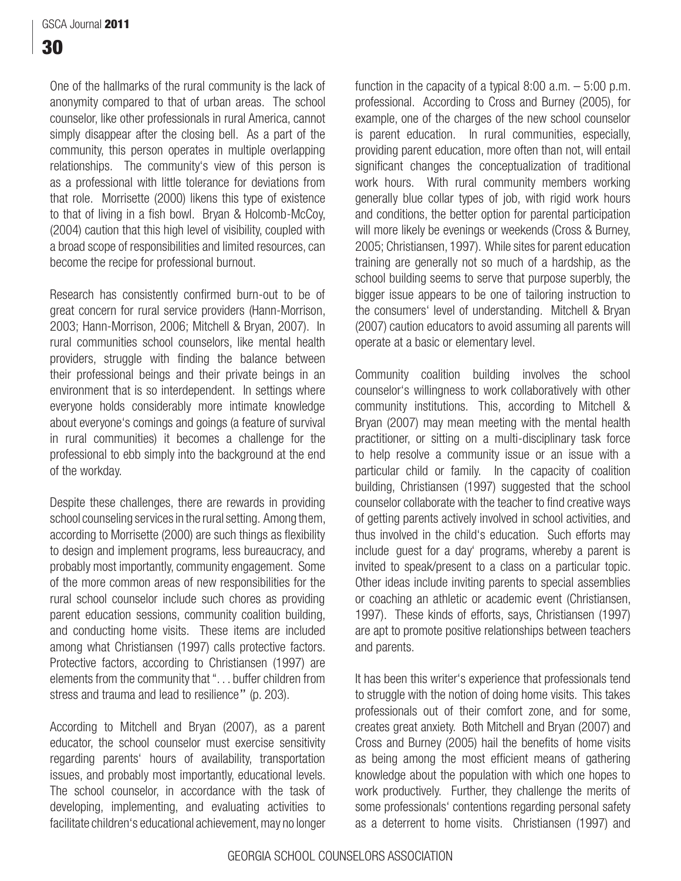One of the hallmarks of the rural community is the lack of anonymity compared to that of urban areas. The school counselor, like other professionals in rural America, cannot simply disappear after the closing bell. As a part of the community, this person operates in multiple overlapping relationships. The community's view of this person is as a professional with little tolerance for deviations from that role. Morrisette (2000) likens this type of existence to that of living in a fish bowl. Bryan & Holcomb-McCoy, (2004) caution that this high level of visibility, coupled with a broad scope of responsibilities and limited resources, can become the recipe for professional burnout.

Research has consistently confirmed burn-out to be of great concern for rural service providers (Hann-Morrison, 2003; Hann-Morrison, 2006; Mitchell & Bryan, 2007). In rural communities school counselors, like mental health providers, struggle with finding the balance between their professional beings and their private beings in an environment that is so interdependent. In settings where everyone holds considerably more intimate knowledge about everyone's comings and goings (a feature of survival in rural communities) it becomes a challenge for the professional to ebb simply into the background at the end of the workday.

Despite these challenges, there are rewards in providing school counseling services in the rural setting. Among them, according to Morrisette (2000) are such things as flexibility to design and implement programs, less bureaucracy, and probably most importantly, community engagement. Some of the more common areas of new responsibilities for the rural school counselor include such chores as providing parent education sessions, community coalition building, and conducting home visits. These items are included among what Christiansen (1997) calls protective factors. Protective factors, according to Christiansen (1997) are elements from the community that ". . . buffer children from stress and trauma and lead to resilience" (p. 203).

According to Mitchell and Bryan (2007), as a parent educator, the school counselor must exercise sensitivity regarding parents' hours of availability, transportation issues, and probably most importantly, educational levels. The school counselor, in accordance with the task of developing, implementing, and evaluating activities to facilitate children's educational achievement, may no longer function in the capacity of a typical 8:00 a.m. – 5:00 p.m. professional. According to Cross and Burney (2005), for example, one of the charges of the new school counselor is parent education. In rural communities, especially, providing parent education, more often than not, will entail significant changes the conceptualization of traditional work hours. With rural community members working generally blue collar types of job, with rigid work hours and conditions, the better option for parental participation will more likely be evenings or weekends (Cross & Burney, 2005; Christiansen, 1997). While sites for parent education training are generally not so much of a hardship, as the school building seems to serve that purpose superbly, the bigger issue appears to be one of tailoring instruction to the consumers' level of understanding. Mitchell & Bryan (2007) caution educators to avoid assuming all parents will operate at a basic or elementary level.

Community coalition building involves the school counselor's willingness to work collaboratively with other community institutions. This, according to Mitchell & Bryan (2007) may mean meeting with the mental health practitioner, or sitting on a multi-disciplinary task force to help resolve a community issue or an issue with a particular child or family. In the capacity of coalition building, Christiansen (1997) suggested that the school counselor collaborate with the teacher to find creative ways of getting parents actively involved in school activities, and thus involved in the child's education. Such efforts may include guest for a day' programs, whereby a parent is invited to speak/present to a class on a particular topic. Other ideas include inviting parents to special assemblies or coaching an athletic or academic event (Christiansen, 1997). These kinds of efforts, says, Christiansen (1997) are apt to promote positive relationships between teachers and parents.

It has been this writer's experience that professionals tend to struggle with the notion of doing home visits. This takes professionals out of their comfort zone, and for some, creates great anxiety. Both Mitchell and Bryan (2007) and Cross and Burney (2005) hail the benefits of home visits as being among the most efficient means of gathering knowledge about the population with which one hopes to work productively. Further, they challenge the merits of some professionals' contentions regarding personal safety as a deterrent to home visits. Christiansen (1997) and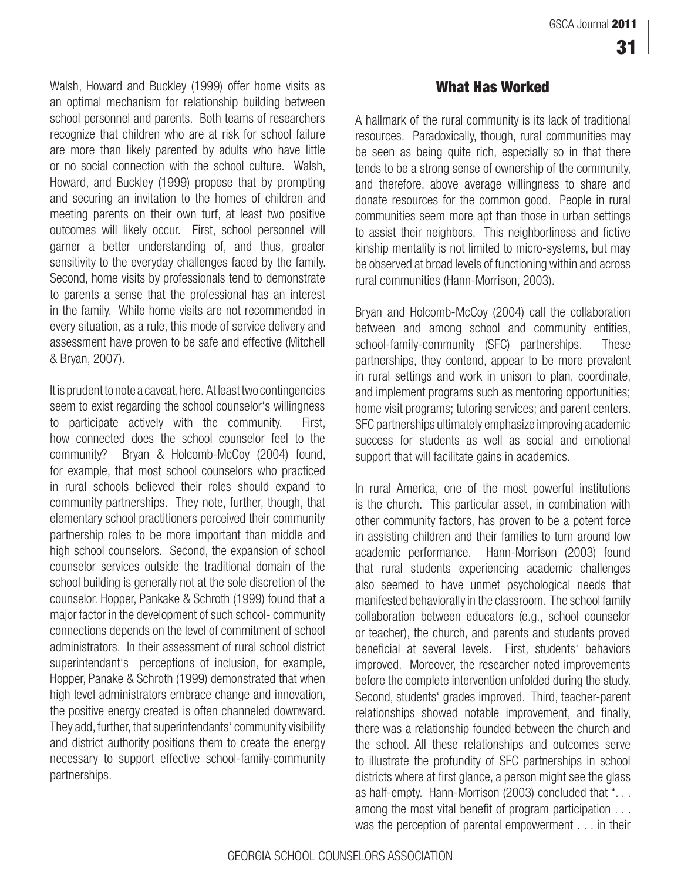Walsh, Howard and Buckley (1999) offer home visits as an optimal mechanism for relationship building between school personnel and parents. Both teams of researchers recognize that children who are at risk for school failure are more than likely parented by adults who have little or no social connection with the school culture. Walsh, Howard, and Buckley (1999) propose that by prompting and securing an invitation to the homes of children and meeting parents on their own turf, at least two positive outcomes will likely occur. First, school personnel will garner a better understanding of, and thus, greater sensitivity to the everyday challenges faced by the family. Second, home visits by professionals tend to demonstrate to parents a sense that the professional has an interest in the family. While home visits are not recommended in every situation, as a rule, this mode of service delivery and assessment have proven to be safe and effective (Mitchell & Bryan, 2007).

It is prudent to note a caveat, here. At least two contingencies seem to exist regarding the school counselor's willingness to participate actively with the community. First, how connected does the school counselor feel to the community? Bryan & Holcomb-McCoy (2004) found, for example, that most school counselors who practiced in rural schools believed their roles should expand to community partnerships. They note, further, though, that elementary school practitioners perceived their community partnership roles to be more important than middle and high school counselors. Second, the expansion of school counselor services outside the traditional domain of the school building is generally not at the sole discretion of the counselor. Hopper, Pankake & Schroth (1999) found that a major factor in the development of such school- community connections depends on the level of commitment of school administrators. In their assessment of rural school district superintendant's perceptions of inclusion, for example, Hopper, Panake & Schroth (1999) demonstrated that when high level administrators embrace change and innovation, the positive energy created is often channeled downward. They add, further, that superintendants' community visibility and district authority positions them to create the energy necessary to support effective school-family-community partnerships.

#### **What Has Worked**

A hallmark of the rural community is its lack of traditional resources. Paradoxically, though, rural communities may be seen as being quite rich, especially so in that there tends to be a strong sense of ownership of the community, and therefore, above average willingness to share and donate resources for the common good. People in rural communities seem more apt than those in urban settings to assist their neighbors. This neighborliness and fictive kinship mentality is not limited to micro-systems, but may be observed at broad levels of functioning within and across rural communities (Hann-Morrison, 2003).

Bryan and Holcomb-McCoy (2004) call the collaboration between and among school and community entities, school-family-community (SFC) partnerships. These partnerships, they contend, appear to be more prevalent in rural settings and work in unison to plan, coordinate, and implement programs such as mentoring opportunities; home visit programs; tutoring services; and parent centers. SFC partnerships ultimately emphasize improving academic success for students as well as social and emotional support that will facilitate gains in academics.

In rural America, one of the most powerful institutions is the church. This particular asset, in combination with other community factors, has proven to be a potent force in assisting children and their families to turn around low academic performance. Hann-Morrison (2003) found that rural students experiencing academic challenges also seemed to have unmet psychological needs that manifested behaviorally in the classroom. The school family collaboration between educators (e.g., school counselor or teacher), the church, and parents and students proved beneficial at several levels. First, students' behaviors improved. Moreover, the researcher noted improvements before the complete intervention unfolded during the study. Second, students' grades improved. Third, teacher-parent relationships showed notable improvement, and finally, there was a relationship founded between the church and the school. All these relationships and outcomes serve to illustrate the profundity of SFC partnerships in school districts where at first glance, a person might see the glass as half-empty. Hann-Morrison (2003) concluded that ". . . among the most vital benefit of program participation . . . was the perception of parental empowerment . . . in their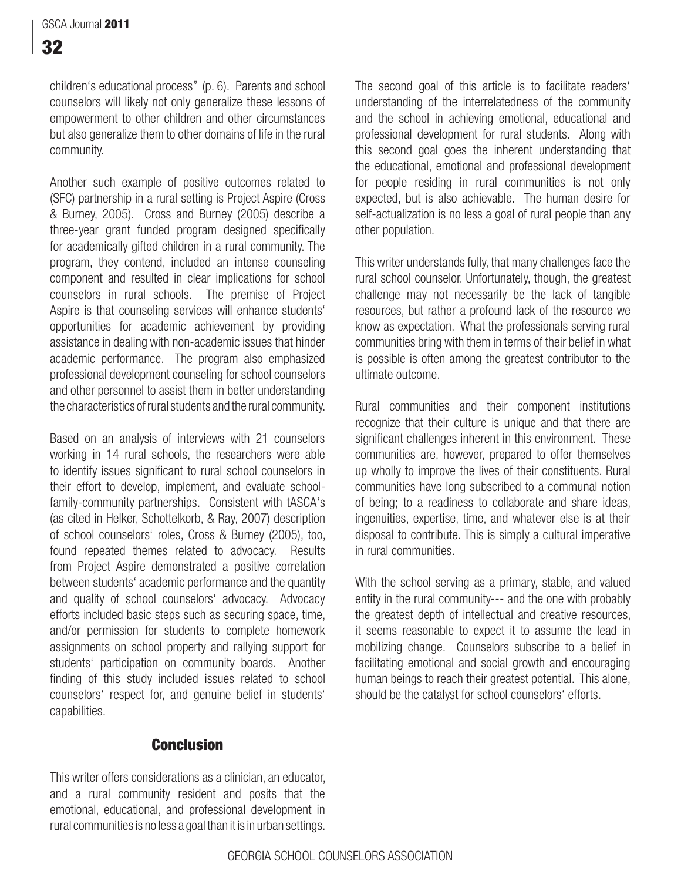children's educational process" (p. 6). Parents and school counselors will likely not only generalize these lessons of empowerment to other children and other circumstances but also generalize them to other domains of life in the rural community.

Another such example of positive outcomes related to (SFC) partnership in a rural setting is Project Aspire (Cross & Burney, 2005). Cross and Burney (2005) describe a three-year grant funded program designed specifically for academically gifted children in a rural community. The program, they contend, included an intense counseling component and resulted in clear implications for school counselors in rural schools. The premise of Project Aspire is that counseling services will enhance students' opportunities for academic achievement by providing assistance in dealing with non-academic issues that hinder academic performance. The program also emphasized professional development counseling for school counselors and other personnel to assist them in better understanding the characteristics of rural students and the rural community.

Based on an analysis of interviews with 21 counselors working in 14 rural schools, the researchers were able to identify issues significant to rural school counselors in their effort to develop, implement, and evaluate schoolfamily-community partnerships. Consistent with tASCA's (as cited in Helker, Schottelkorb, & Ray, 2007) description of school counselors' roles, Cross & Burney (2005), too, found repeated themes related to advocacy. Results from Project Aspire demonstrated a positive correlation between students' academic performance and the quantity and quality of school counselors' advocacy. Advocacy efforts included basic steps such as securing space, time, and/or permission for students to complete homework assignments on school property and rallying support for students' participation on community boards. Another finding of this study included issues related to school counselors' respect for, and genuine belief in students' capabilities.

The second goal of this article is to facilitate readers' understanding of the interrelatedness of the community and the school in achieving emotional, educational and professional development for rural students. Along with this second goal goes the inherent understanding that the educational, emotional and professional development for people residing in rural communities is not only expected, but is also achievable. The human desire for self-actualization is no less a goal of rural people than any other population.

This writer understands fully, that many challenges face the rural school counselor. Unfortunately, though, the greatest challenge may not necessarily be the lack of tangible resources, but rather a profound lack of the resource we know as expectation. What the professionals serving rural communities bring with them in terms of their belief in what is possible is often among the greatest contributor to the ultimate outcome.

Rural communities and their component institutions recognize that their culture is unique and that there are significant challenges inherent in this environment. These communities are, however, prepared to offer themselves up wholly to improve the lives of their constituents. Rural communities have long subscribed to a communal notion of being; to a readiness to collaborate and share ideas, ingenuities, expertise, time, and whatever else is at their disposal to contribute. This is simply a cultural imperative in rural communities.

With the school serving as a primary, stable, and valued entity in the rural community--- and the one with probably the greatest depth of intellectual and creative resources, it seems reasonable to expect it to assume the lead in mobilizing change. Counselors subscribe to a belief in facilitating emotional and social growth and encouraging human beings to reach their greatest potential. This alone, should be the catalyst for school counselors' efforts.

### **Conclusion**

This writer offers considerations as a clinician, an educator, and a rural community resident and posits that the emotional, educational, and professional development in rural communities is no less a goal than it is in urban settings.